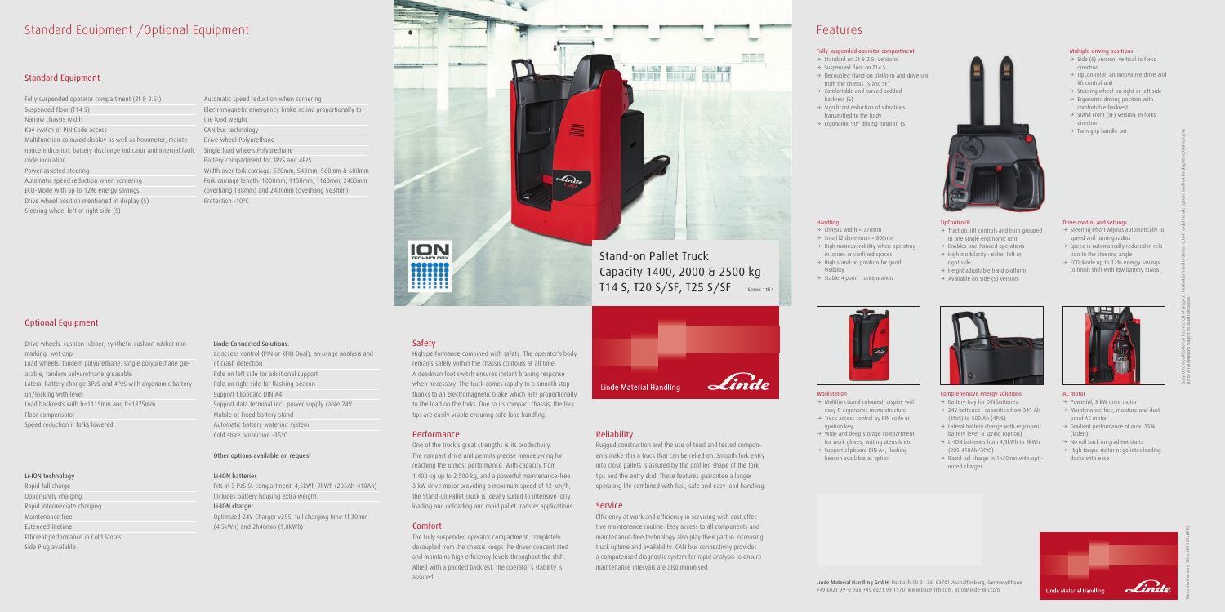## Standard Equipment /Optional Equipment

#### Standard Equipment

Fully suspended operator compartment (2t & 2.5t) Suspended floor (T14 S) Narrow chassis width Key switch or PIN Code access Multifunction coloured display as well as hourmeter, maintenance indication, battery discharge indicator and internal fault code indication Power assisted steering Automatic speed reduction when cornering ECO-Mode with up to 12% energy savings Drive wheel position mentioned in display (S) Steering wheel left or right side (S)

### Optional Equipment

Drive wheels: cushion rubber, synthetic cushion rubber non marking, wet grip Load wheels: tandem polyurethane, single polyurethane greasable, tandem polyurethane greasable Lateral battery change 3PzS and 4PzS with ergonomic battery un/locking with lever Load backrests with h=1115mm and h=1875mm Floor compensator Speed reduction if forks lowered

#### Li-ION technology

Rapid full charge Opportunity charging Rapid intermediate charging Maintenance free Extended lifetime Efficient performance in Cold Stores Side Plug available

Automatic speed reduction when cornering Electromagnetic emergency brake acting proportionally to the load weight CAN bus technology Drive wheel Polyurethane Single load wheels Polyurethane Battery compartment for 3PzS and 4PzS Width over fork carriage: 520mm, 540mm, 560mm & 680mm Fork carriage length: 1000mm, 1150mm, 1160mm, 2400mm (overhang 188mm) and 2400mm (overhang 563mm) Protection -10°C

#### Linde Connected Solutions:

ac:access control (PIN or RFID Dual), an:usage analysis and dt:crash detection Pole on left side for additional support Pole on right side for flashing beacon Support Clipboard DIN A4 Support data terminal incl. power supply cable 24V Mobile or Fixed battery stand Automatic battery watering system Cold store protection -35°C

#### Other options available on request

#### Li-ION batteries

Fits in 3 PzS SL compartment: 4,5kWh-9kWh (205Ah-410Ah) Includes battery housing extra weight Li-ION charger Optimized 24V-Charger v255: full charging time 1h30min (4,5kWh) and 2h40min (9,0kWh)

#### Safety

- $\rightarrow$  Multifunctional coloured display with easy & ergonomic menu structure
- $\rightarrow$  Truck access control by PIN code or ignition key
- $\rightarrow$  Wide and deep storage compartment for work gloves, writing utensils etc
- $\rightarrow$  Support clipboard DIN A4, flashing beacon available as option



High performance combined with safety. The operator's body remains safely within the chassis contours at all time. A deadman foot switch ensures instant braking response when necessary. The truck comes rapidly to a smooth stop thanks to an electromagnetic brake which acts proportionally to the load on the forks. Due to its compact chassis, the fork tips are easily visible ensuring safe load handling.

- $\rightarrow$  Battery tray for DIN batteries  $\rightarrow$  24V batteries : capacities from 345 Ah (3PzS) to 500 Ah (4PzS)
- $\rightarrow$  Lateral battery change with ergonomic battery lever & spring (option)
- $\rightarrow$  Li-ION batteries from 4,5kWh to 9kWh (205-410Ah/3PzS)
- $\rightarrow$  Rapid full charge in 1h30min with optimized charger



#### Performance

- $\rightarrow$  Steering effort adjusts automatically to speed and turning radius
- $\rightarrow$  Speed is automatically reduced in relation to the steering angle
- $\rightarrow$  ECO-Mode up to 12% energy savings to finish shift with low battery status



- $\rightarrow$  Powerful, 3 kW drive motor
- $\rightarrow$  Maintenance-free, moisture and dust proof AC motor
- $\rightarrow$  Gradient performance of max. 15% (laden)
- $\rightarrow$  No roll back on gradient starts
- $\rightarrow$  High torque motor negotiates loading docks with ease



One of the truck's great strengths is its productivity. The compact drive unit permits precise manoeuvring for reaching the utmost performance. With capacity from 1,400 kg up to 2,500 kg, and a powerful maintenance-free 3 kW drive motor providing a maximum speed of 12 km/h, the Stand-on Pallet Truck is ideally suited to intensive lorry loading and unloading and rapid pallet transfer applications.

#### Comfort

The fully suspended operator compartment, completely decoupled from the chassis keeps the driver concentrated and maintains high efficiency levels throughout the shift. Allied with a padded backrest, the operator's stability is assured.



#### Reliability

Rugged construction and the use of tried and tested components make this a truck that can be relied on. Smooth fork entry into close pallets is assured by the profiled shape of the fork tips and the entry skid. These features guarantee a longer operating life combined with fast, safe and easy load handling.

#### Service

Efficiency at work and efficiency in servicing with cost effective maintenance routine. Easy access to all components and maintenance-free technology also play their part in increasing truck uptime and availability. CAN bus connectivity provides a computerised diagnostic system for rapid analysis to ensure maintenance intervals are also minimised.

### Features

Linde Material Handling GmbH, Postfach 10 01 36, 63701 Aschaffenburg, GermanyPhone +49.6021.99-0, Fax +49.6021.99-1570, www.linde-mh.com, info@linde-mh.com

#### Workstation

Handling

visibility

 $\rightarrow$  Chassis width = 770mm  $\rightarrow$  Small I2 dimension = 800mm  $\rightarrow$  High maneuverability when operating in lorries or confined spaces  $\rightarrow$  High stand-on position for good

 $\rightarrow$  Stable 4 point configuration

#### Comprehensive energy solutions



#### AC motor

Printed in Germany 756.e.0417.2.IndF.Ki



#### Multiple driving positions

- $\rightarrow$  Side (S) version: vertical to forks direction
- $\rightarrow$  TipControl®, an innovative drive and lift control unit
- $\rightarrow$  Steering wheel on right or left side
- $\rightarrow$  Ergonomic driving position with comfortable backrest
- $\rightarrow$  Stand Front (SF) version: in forks direction
- $\rightarrow$  Twin grip handle bar

TipControl®

right side

#### Fully suspended operator compartment

- $\rightarrow$  Standard on 2t & 2.5t versions  $\rightarrow$  Suspended floor on T14 S
- $\rightarrow$  Decoupled stand-on platform and drive unit from the chassis (S and SF)
- $\rightarrow$  Comfortable and curved padded backrest (S)
- $\rightarrow$  Significant reduction of vibrations transmitted to the body
- $\rightarrow$  Ergonomic 90° driving position (S)



 $\rightarrow$  Traction, lift controls and horn grouped in one single ergonomic unit  $\rightarrow$  Enables one-handed operations  $\rightarrow$  High modularity : either left or

 $\rightarrow$  Height adjustable hand platform  $\rightarrow$  Available on Side (S) version